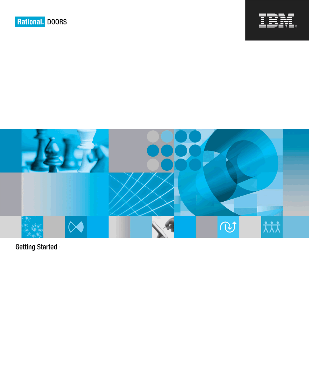





**Getting Started**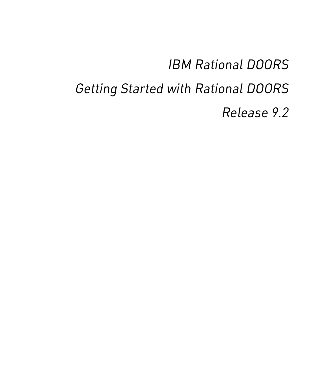# *IBM Rational DOORS Getting Started with Rational DOORS Release 9.2*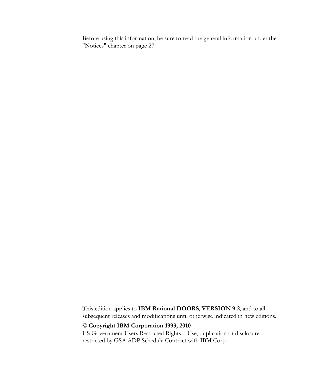Before using this information, be sure to read the general information under the ["Notices" chapter on page 27.](#page-32-0)

This edition applies to **IBM Rational DOORS**, **VERSION 9.2**, and to all subsequent releases and modifications until otherwise indicated in new editions.

#### © **Copyright IBM Corporation 1993, 2010**

US Government Users Restricted Rights—Use, duplication or disclosure restricted by GSA ADP Schedule Contract with IBM Corp.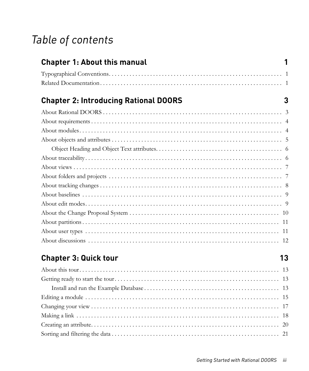# Table of contents

| <b>Chapter 1: About this manual</b>          |
|----------------------------------------------|
|                                              |
|                                              |
| <b>Chapter 2: Introducing Rational DOORS</b> |
|                                              |
|                                              |
|                                              |
|                                              |
|                                              |
|                                              |
|                                              |
|                                              |
|                                              |
|                                              |
|                                              |
|                                              |
|                                              |
|                                              |
|                                              |

# **Chapter 3: Quick tour**

| I |                               |
|---|-------------------------------|
|   | ۰.<br>۰,<br>×<br>o esta<br>۰. |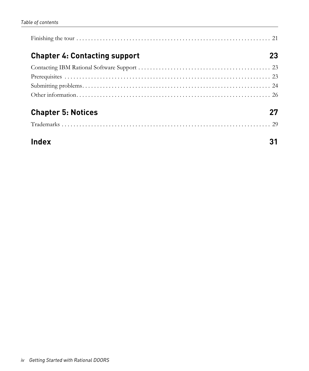| <b>Chapter 4: Contacting support</b> | 23 |
|--------------------------------------|----|
|                                      |    |
|                                      |    |
|                                      |    |
|                                      |    |
| <b>Chapter 5: Notices</b>            |    |
|                                      |    |
| <b>Index</b>                         |    |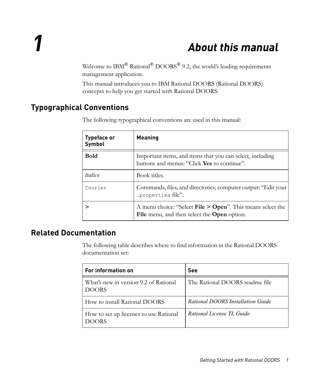# *1 About this manual*

<span id="page-6-0"></span>Welcome to  $\text{IBM}^{\circledR}$  Rational $^{\circledR}$  DOORS $^{\circledR}$  9.2, the world's leading requirements management application.

This manual introduces you to IBM Rational DOORS (Rational DOORS) concepts to help you get started with Rational DOORS.

# <span id="page-6-1"></span>**Typographical Conventions**

| <b>Typeface or</b><br>Symbol | <b>Meaning</b>                                                                                            |
|------------------------------|-----------------------------------------------------------------------------------------------------------|
| <b>Bold</b>                  | Important items, and items that you can select, including<br>buttons and menus: "Click Yes to continue".  |
| <i><u>Italics</u></i>        | Book titles.                                                                                              |
| Courier                      | Commands, files, and directories; computer output: "Edit your<br>.properties file".                       |
|                              | A menu choice: "Select File > Open". This means select the<br>File menu, and then select the Open option. |

The following typographical conventions are used in this manual:

# <span id="page-6-2"></span>**Related Documentation**

The following table describes where to find information in the Rational DOORS documentation set:

| For information on                                    | See                               |
|-------------------------------------------------------|-----------------------------------|
| What's new in version 9.2 of Rational<br><b>DOORS</b> | The Rational DOORS readme file    |
| How to install Rational DOORS                         | Rational DOORS Installation Guide |
| How to set up licenses to use Rational<br><b>DORS</b> | Rational License TL Guide         |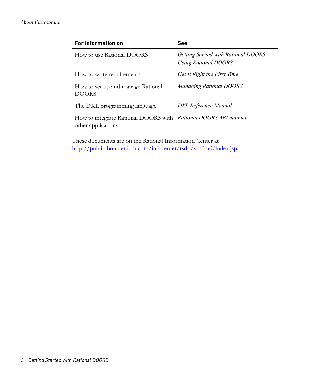| For information on                                         | See                                                                |
|------------------------------------------------------------|--------------------------------------------------------------------|
| How to use Rational DOORS                                  | Getting Started with Rational DOORS<br><b>Using Rational DOORS</b> |
| How to write requirements                                  | Get It Right the First Time                                        |
| How to set up and manage Rational<br><b>DOORS</b>          | Managing Rational DOORS                                            |
| The DXL programming language                               | <b>DXL Reference Manual</b>                                        |
| How to integrate Rational DOORS with<br>other applications | Rational DOORS API manual                                          |

These documents are on the Rational Information Center at http://publib.boulder.ibm.com/infocenter/rsdp/v1r0m0/index.jsp.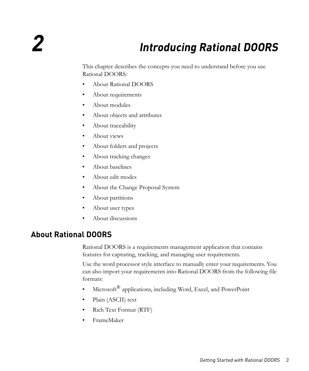# <span id="page-8-0"></span>*2 Introducing Rational DOORS*

This chapter describes the concepts you need to understand before you use Rational DOORS:

- [About Rational DOORS](#page-8-1)
- [About requirements](#page-9-0)
- [About modules](#page-9-1)
- [About objects and attributes](#page-10-0)
- [About traceability](#page-11-1)
- [About views](#page-12-0)
- [About folders and projects](#page-12-1)
- [About tracking changes](#page-13-0)
- [About baselines](#page-14-0)
- [About edit modes](#page-14-1)
- [About the Change Proposal System](#page-15-0)
- [About partitions](#page-16-0)
- [About user types](#page-16-1)
- [About discussions](#page-17-0)

# <span id="page-8-1"></span>**About Rational DOORS**

Rational DOORS is a requirements management application that contains features for capturing, tracking, and managing user requirements.

Use the word processor style interface to manually enter your requirements. You can also import your requirements into Rational DOORS from the following file formats:

- Microsoft $^{\circledR}$  applications, including Word, Excel, and PowerPoint
- Plain (ASCII) text
- Rich Text Format (RTF)
- FrameMaker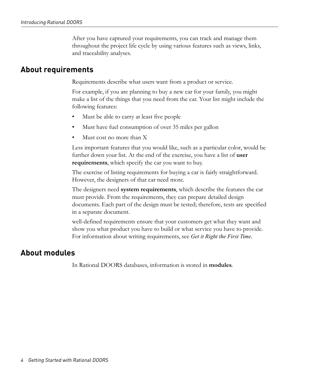After you have captured your requirements, you can track and manage them throughout the project life cycle by using various features such as views, links, and traceability analyses.

# <span id="page-9-0"></span>**About requirements**

<span id="page-9-4"></span>Requirements describe what users want from a product or service.

For example, if you are planning to buy a new car for your family, you might make a list of the things that you need from the car. Your list might include the following features:

- Must be able to carry at least five people
- Must have fuel consumption of over 35 miles per gallon
- <span id="page-9-5"></span>• Must cost no more than X

Less important features that you would like, such as a particular color, would be further down your list. At the end of the exercise, you have a list of **user requirements**, which specify the car you want to buy.

The exercise of listing requirements for buying a car is fairly straightforward. However, the designers of that car need more.

<span id="page-9-3"></span>The designers need **system requirements**, which describe the features the car must provide. From the requirements, they can prepare detailed design documents. Each part of the design must be tested; therefore, tests are specified in a separate document.

well-defined requirements ensure that your customers get what they want and show you what product you have to build or what service you have to provide. For information about writing requirements, see *Get it Right the First Time*.

# <span id="page-9-1"></span>**About modules**

<span id="page-9-2"></span>In Rational DOORS databases, information is stored in **modules**.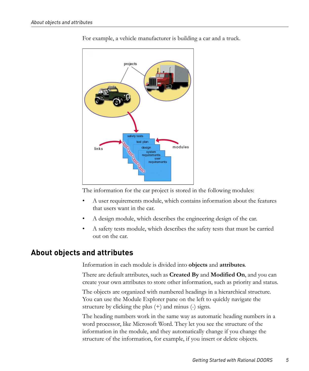

For example, a vehicle manufacturer is building a car and a truck.

The information for the car project is stored in the following modules:

- A user requirements module, which contains information about the features that users want in the car.
- A design module, which describes the engineering design of the car.
- A safety tests module, which describes the safety tests that must be carried out on the car.

# <span id="page-10-0"></span>**About objects and attributes**

<span id="page-10-1"></span>Information in each module is divided into **objects** and **attributes**.

There are default attributes, such as **Created By** and **Modified On**, and you can create your own attributes to store other information, such as priority and status.

The objects are organized with numbered headings in a hierarchical structure. You can use the Module Explorer pane on the left to quickly navigate the structure by clicking the plus (+) and minus (-) signs.

The heading numbers work in the same way as automatic heading numbers in a word processor, like Microsoft Word. They let you see the structure of the information in the module, and they automatically change if you change the structure of the information, for example, if you insert or delete objects.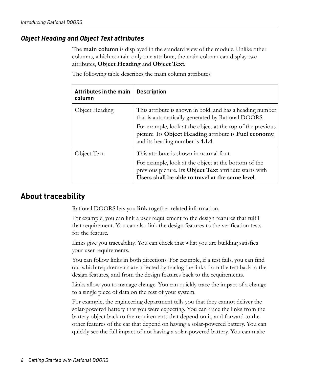#### <span id="page-11-0"></span>*Object Heading and Object Text attributes*

The **main column** is displayed in the standard view of the module. Unlike other columns, which contain only one attribute, the main column can display two attributes, **Object Heading** and **Object Text**.

<span id="page-11-3"></span><span id="page-11-2"></span>

| Attributes in the main<br>column | <b>Description</b>                                                                                                                                                                                             |
|----------------------------------|----------------------------------------------------------------------------------------------------------------------------------------------------------------------------------------------------------------|
| Object Heading                   | This attribute is shown in bold, and has a heading number<br>that is automatically generated by Rational DOORS.                                                                                                |
|                                  | For example, look at the object at the top of the previous<br>picture. Its Object Heading attribute is Fuel economy,<br>and its heading number is 4.1.4.                                                       |
| Object Text                      | This attribute is shown in normal font.<br>For example, look at the object at the bottom of the<br>previous picture. Its Object Text attribute starts with<br>Users shall be able to travel at the same level. |

The following table describes the main column attributes.

# <span id="page-11-1"></span>**About traceability**

<span id="page-11-5"></span>Rational DOORS lets you **link** together related information.

For example, you can link a user requirement to the design features that fulfill that requirement. You can also link the design features to the verification tests for the feature.

<span id="page-11-4"></span>Links give you traceability. You can check that what you are building satisfies your user requirements.

You can follow links in both directions. For example, if a test fails, you can find out which requirements are affected by tracing the links from the test back to the design features, and from the design features back to the requirements.

Links allow you to manage change. You can quickly trace the impact of a change to a single piece of data on the rest of your system.

For example, the engineering department tells you that they cannot deliver the solar-powered battery that you were expecting. You can trace the links from the battery object back to the requirements that depend on it, and forward to the other features of the car that depend on having a solar-powered battery. You can quickly see the full impact of not having a solar-powered battery. You can make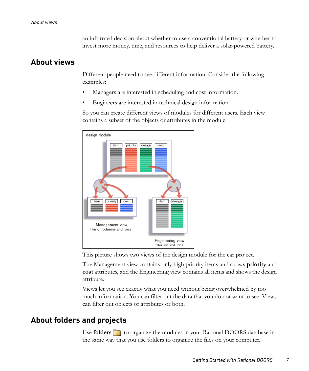an informed decision about whether to use a conventional battery or whether to invest more money, time, and resources to help deliver a solar-powered battery.

#### <span id="page-12-0"></span>**About views**

<span id="page-12-3"></span>Different people need to see different information. Consider the following examples:

- Managers are interested in scheduling and cost information.
- Engineers are interested in technical design information.

So you can create different views of modules for different users. Each view contains a subset of the objects or attributes in the module.



This picture shows two views of the design module for the car project.

The Management view contains only high priority items and shows **priority** and **cost** attributes, and the Engineering view contains all items and shows the design attribute.

Views let you see exactly what you need without being overwhelmed by too much information. You can filter out the data that you do not want to see. Views can filter out objects or attributes or both.

# <span id="page-12-1"></span>**About folders and projects**

<span id="page-12-2"></span>Use **folders** to organize the modules in your Rational DOORS database in the same way that you use folders to organize the files on your computer.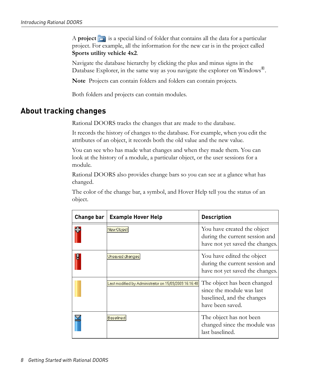A **project** is a special kind of folder that contains all the data for a particular project. For example, all the information for the new car is in the project called **Sports utility vehicle 4x2**.

Navigate the database hierarchy by clicking the plus and minus signs in the Database Explorer, in the same way as you navigate the explorer on Windows<sup>®</sup>.

**Note** Projects can contain folders and folders can contain projects.

Both folders and projects can contain modules.

### <span id="page-13-0"></span>**About tracking changes**

Rational DOORS tracks the changes that are made to the database.

It records the history of changes to the database. For example, when you edit the attributes of an object, it records both the old value and the new value.

You can see who has made what changes and when they made them. You can look at the history of a module, a particular object, or the user sessions for a module.

Rational DOORS also provides change bars so you can see at a glance what has changed.

The color of the change bar, a symbol, and Hover Help tell you the status of an object.

| <b>Change bar</b> | <b>Example Hover Help</b>                             | <b>Description</b>                                                                                         |
|-------------------|-------------------------------------------------------|------------------------------------------------------------------------------------------------------------|
|                   | New Object                                            | You have created the object<br>during the current session and<br>have not yet saved the changes.           |
|                   | Unsaved changes                                       | You have edited the object<br>during the current session and<br>have not yet saved the changes.            |
|                   | Last modified by Administrator on 15/03/2003 16:16:48 | The object has been changed<br>since the module was last<br>baselined, and the changes<br>have been saved. |
|                   | <b>Baselined</b>                                      | The object has not been<br>changed since the module was<br>last baselined.                                 |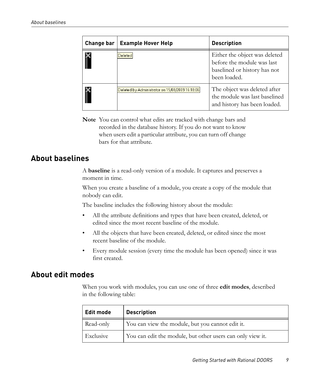| <b>Change bar</b> | <b>Example Hover Help</b>                       | <b>Description</b>                                                                                          |
|-------------------|-------------------------------------------------|-------------------------------------------------------------------------------------------------------------|
| ř                 | Deleted                                         | Either the object was deleted<br>before the module was last<br>baselined or history has not<br>been loaded. |
| ř                 | Deleted by Administrator on 15/08/2003 16:18:06 | The object was deleted after<br>the module was last baselined<br>and history has been loaded.               |

**Note** You can control what edits are tracked with change bars and recorded in the database history. If you do not want to know when users edit a particular attribute, you can turn off change bars for that attribute.

# <span id="page-14-0"></span>**About baselines**

<span id="page-14-2"></span>A **baseline** is a read-only version of a module. It captures and preserves a moment in time.

When you create a baseline of a module, you create a copy of the module that nobody can edit.

The baseline includes the following history about the module:

- All the attribute definitions and types that have been created, deleted, or edited since the most recent baseline of the module.
- All the objects that have been created, deleted, or edited since the most recent baseline of the module.
- Every module session (every time the module has been opened) since it was first created.

# <span id="page-14-1"></span>**About edit modes**

<span id="page-14-3"></span>When you work with modules, you can use one of three **edit modes**, described in the following table:

| Edit mode | <b>Description</b>                                         |
|-----------|------------------------------------------------------------|
| Read-only | You can view the module, but you cannot edit it.           |
| Exclusive | You can edit the module, but other users can only view it. |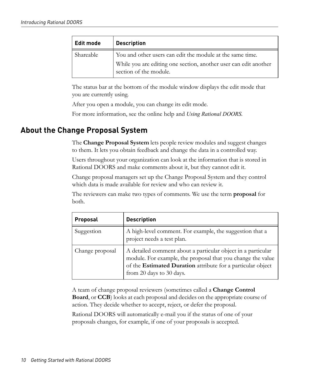| Edit mode | <b>Description</b>                                                                                                                                      |
|-----------|---------------------------------------------------------------------------------------------------------------------------------------------------------|
| Shareable | You and other users can edit the module at the same time.<br>While you are editing one section, another user can edit another<br>section of the module. |

The status bar at the bottom of the module window displays the edit mode that you are currently using.

After you open a module, you can change its edit mode.

For more information, see the online help and *Using Rational DOORS*.

# <span id="page-15-0"></span>**About the Change Proposal System**

The **Change Proposal System** lets people review modules and suggest changes to them. It lets you obtain feedback and change the data in a controlled way.

Users throughout your organization can look at the information that is stored in Rational DOORS and make comments about it, but they cannot edit it.

Change proposal managers set up the Change Proposal System and they control which data is made available for review and who can review it.

The reviewers can make two types of comments. We use the term **proposal** for both.

<span id="page-15-3"></span><span id="page-15-2"></span>

| Proposal        | <b>Description</b>                                                                                                                                                                                                     |
|-----------------|------------------------------------------------------------------------------------------------------------------------------------------------------------------------------------------------------------------------|
| Suggestion      | A high-level comment. For example, the suggestion that a<br>project needs a test plan.                                                                                                                                 |
| Change proposal | A detailed comment about a particular object in a particular<br>module. For example, the proposal that you change the value<br>of the Estimated Duration attribute for a particular object<br>from 20 days to 30 days. |

<span id="page-15-1"></span>A team of change proposal reviewers (sometimes called a **Change Control Board**, or **CCB**) looks at each proposal and decides on the appropriate course of action. They decide whether to accept, reject, or defer the proposal.

Rational DOORS will automatically e-mail you if the status of one of your proposals changes, for example, if one of your proposals is accepted.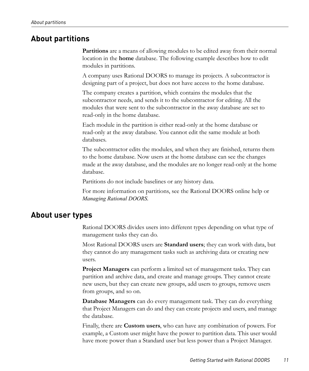# <span id="page-16-0"></span>**About partitions**

<span id="page-16-4"></span>**Partitions** are a means of allowing modules to be edited away from their normal location in the **home** database. The following example describes how to edit modules in partitions.

A company uses Rational DOORS to manage its projects. A subcontractor is designing part of a project, but does not have access to the home database.

The company creates a partition, which contains the modules that the subcontractor needs, and sends it to the subcontractor for editing. All the modules that were sent to the subcontractor in the away database are set to read-only in the home database.

Each module in the partition is either read-only at the home database or read-only at the away database. You cannot edit the same module at both databases.

The subcontractor edits the modules, and when they are finished, returns them to the home database. Now users at the home database can see the changes made at the away database, and the modules are no longer read-only at the home database.

Partitions do not include baselines or any history data.

For more information on partitions, see the Rational DOORS online help or *Managing Rational DOORS*.

# <span id="page-16-1"></span>**About user types**

<span id="page-16-7"></span>Rational DOORS divides users into different types depending on what type of management tasks they can do.

<span id="page-16-6"></span>Most Rational DOORS users are **Standard users**; they can work with data, but they cannot do any management tasks such as archiving data or creating new users.

<span id="page-16-5"></span>**Project Managers** can perform a limited set of management tasks. They can partition and archive data, and create and manage groups. They cannot create new users, but they can create new groups, add users to groups, remove users from groups, and so on.

<span id="page-16-3"></span>**Database Managers** can do every management task. They can do everything that Project Managers can do and they can create projects and users, and manage the database.

<span id="page-16-2"></span>Finally, there are **Custom users**, who can have any combination of powers. For example, a Custom user might have the power to partition data. This user would have more power than a Standard user but less power than a Project Manager.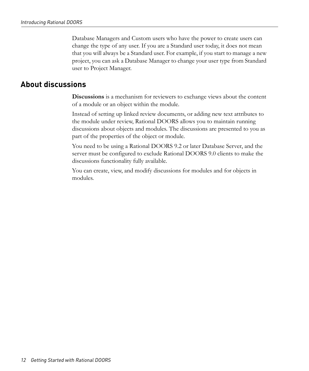Database Managers and Custom users who have the power to create users can change the type of any user. If you are a Standard user today, it does not mean that you will always be a Standard user. For example, if you start to manage a new project, you can ask a Database Manager to change your user type from Standard user to Project Manager.

# <span id="page-17-0"></span>**About discussions**

**Discussions** is a mechanism for reviewers to exchange views about the content of a module or an object within the module.

Instead of setting up linked review documents, or adding new text attributes to the module under review, Rational DOORS allows you to maintain running discussions about objects and modules. The discussions are presented to you as part of the properties of the object or module.

You need to be using a Rational DOORS 9.2 or later Database Server, and the server must be configured to exclude Rational DOORS 9.0 clients to make the discussions functionality fully available.

You can create, view, and modify discussions for modules and for objects in modules.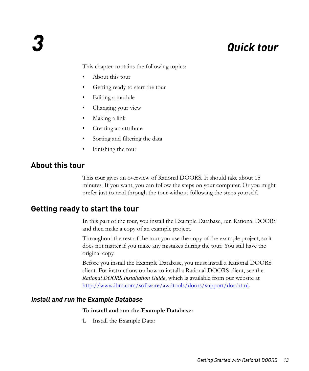<span id="page-18-0"></span>This chapter contains the following topics:

- [About this tour](#page-18-1)
- [Getting ready to start the tour](#page-18-2)
- [Editing a module](#page-20-0)
- [Changing your view](#page-22-0)
- [Making a link](#page-23-0)
- [Creating an attribute](#page-25-0)
- [Sorting and filtering the data](#page-26-0)
- [Finishing the tour](#page-26-1)

#### <span id="page-18-1"></span>**About this tour**

This tour gives an overview of Rational DOORS. It should take about 15 minutes. If you want, you can follow the steps on your computer. Or you might prefer just to read through the tour without following the steps yourself.

# <span id="page-18-2"></span>**Getting ready to start the tour**

In this part of the tour, you install the Example Database, run Rational DOORS and then make a copy of an example project.

Throughout the rest of the tour you use the copy of the example project, so it does not matter if you make any mistakes during the tour. You still have the original copy.

Before you install the Example Database, you must install a Rational DOORS client. For instructions on how to install a Rational DOORS client, see the *Rational DOORS Installation Guide*, which is available from our website at http://www.ibm.com/software/awdtools/doors/support/doc.html.

#### <span id="page-18-3"></span>*Install and run the Example Database*

#### <span id="page-18-4"></span>**To install and run the Example Database:**

**1.** Install the Example Data: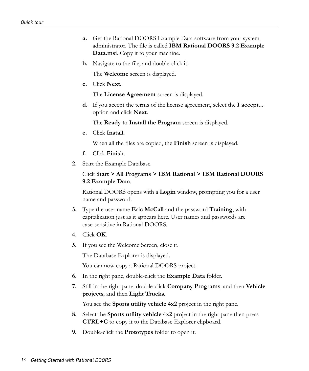- **a.** Get the Rational DOORS Example Data software from your system administrator. The file is called **IBM Rational DOORS 9.2 Example Data.msi**. Copy it to your machine.
- **b.** Navigate to the file, and double-click it.

The **Welcome** screen is displayed.

**c.** Click **Next**.

The **License Agreement** screen is displayed.

**d.** If you accept the terms of the license agreement, select the **I accept...** option and click **Next**.

The **Ready to Install the Program** screen is displayed.

**e.** Click **Install**.

When all the files are copied, the **Finish** screen is displayed.

- **f.** Click **Finish**.
- **2.** Start the Example Database.

#### Click **Start > All Programs > IBM Rational > IBM Rational DOORS 9.2 Example Data**.

Rational DOORS opens with a **Login** window, prompting you for a user name and password.

- **3.** Type the user name **Eric McCall** and the password **Training**, with capitalization just as it appears here. User names and passwords are case-sensitive in Rational DOORS.
- **4.** Click **OK**.
- **5.** If you see the Welcome Screen, close it.

The Database Explorer is displayed.

You can now copy a Rational DOORS project.

- **6.** In the right pane, double-click the **Example Data** folder.
- **7.** Still in the right pane, double-click **Company Programs**, and then **Vehicle projects**, and then **Light Trucks**.

You see the **Sports utility vehicle 4x2** project in the right pane.

- **8.** Select the **Sports utility vehicle 4x2** project in the right pane then press **CTRL+C** to copy it to the Database Explorer clipboard.
- **9.** Double-click the **Prototypes** folder to open it.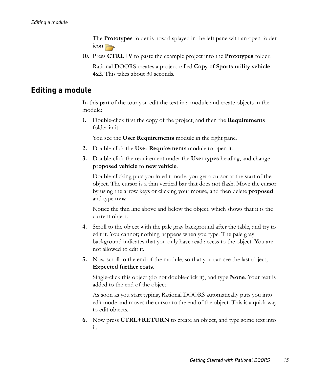The **Prototypes** folder is now displayed in the left pane with an open folder icon .

**10.** Press **CTRL+V** to paste the example project into the **Prototypes** folder.

Rational DOORS creates a project called **Copy of Sports utility vehicle 4x2**. This takes about 30 seconds.

### <span id="page-20-0"></span>**Editing a module**

In this part of the tour you edit the text in a module and create objects in the module:

**1.** Double-click first the copy of the project, and then the **Requirements** folder in it.

You see the **User Requirements** module in the right pane.

- **2.** Double-click the **User Requirements** module to open it.
- **3.** Double-click the requirement under the **User types** heading, and change **proposed vehicle** to **new vehicle**.

Double-clicking puts you in edit mode; you get a cursor at the start of the object. The cursor is a thin vertical bar that does not flash. Move the cursor by using the arrow keys or clicking your mouse, and then delete **proposed** and type **new**.

Notice the thin line above and below the object, which shows that it is the current object.

- **4.** Scroll to the object with the pale gray background after the table, and try to edit it. You cannot; nothing happens when you type. The pale gray background indicates that you only have read access to the object. You are not allowed to edit it.
- **5.** Now scroll to the end of the module, so that you can see the last object, **Expected further costs**.

Single-click this object (do not double-click it), and type **None**. Your text is added to the end of the object.

As soon as you start typing, Rational DOORS automatically puts you into edit mode and moves the cursor to the end of the object. This is a quick way to edit objects.

**6.** Now press **CTRL+RETURN** to create an object, and type some text into it.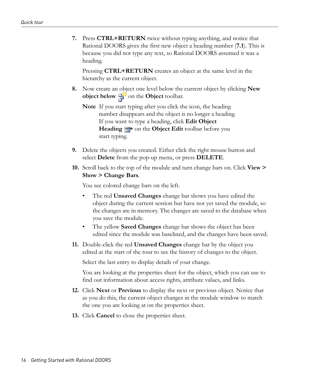**7.** Press **CTRL+RETURN** twice without typing anything, and notice that Rational DOORS gives the first new object a heading number (**7.1**). This is because you did not type any text, so Rational DOORS assumed it was a heading.

Pressing **CTRL+RETURN** creates an object at the same level in the hierarchy as the current object.

**8.** Now create an object one level below the current object by clicking **New object below**  $\frac{1}{2}$  on the **Object** toolbar.

**Note** If you start typing after you click the icon, the heading number disappears and the object is no longer a heading. If you want to type a heading, click **Edit Object Heading**  $\equiv$  to the **Object Edit** toolbar before you start typing.

- **9.** Delete the objects you created. Either click the right mouse button and select **Delete** from the pop-up menu, or press **DELETE**.
- **10.** Scroll back to the top of the module and turn change bars on. Click **View > Show > Change Bars**.

You see colored change bars on the left.

- The red **Unsaved Changes** change bar shows you have edited the object during the current session but have not yet saved the module, so the changes are in memory. The changes are saved to the database when you save the module.
- The yellow **Saved Changes** change bar shows the object has been edited since the module was baselined, and the changes have been saved.
- **11.** Double-click the red **Unsaved Changes** change bar by the object you edited at the start of the tour to see the history of changes to the object.

Select the last entry to display details of your change.

You are looking at the properties sheet for the object, which you can use to find out information about access rights, attribute values, and links.

- **12.** Click **Next** or **Previous** to display the next or previous object. Notice that as you do this, the current object changes in the module window to match the one you are looking at on the properties sheet.
- **13.** Click **Cancel** to close the properties sheet.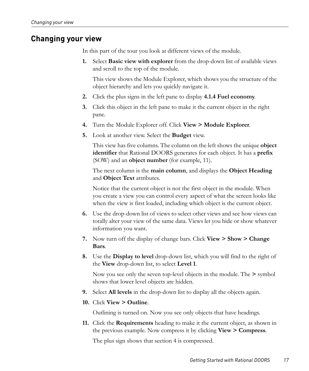# <span id="page-22-0"></span>**Changing your view**

In this part of the tour you look at different views of the module.

**1.** Select **Basic view with explorer** from the drop-down list of available views and scroll to the top of the module.

This view shows the Module Explorer, which shows you the structure of the object hierarchy and lets you quickly navigate it.

- **2.** Click the plus signs in the left pane to display **4.1.4 Fuel economy**.
- **3.** Click this object in the left pane to make it the current object in the right pane.
- **4.** Turn the Module Explorer off. Click **View > Module Explorer**.
- **5.** Look at another view. Select the **Budget** view.

<span id="page-22-2"></span><span id="page-22-1"></span>This view has five columns. The column on the left shows the unique **object identifier** that Rational DOORS generates for each object. It has a **prefix** (SOW) and an **object number** (for example, 11).

The next column is the **main column**, and displays the **Object Heading** and **Object Text** attributes.

Notice that the current object is not the first object in the module. When you create a view you can control every aspect of what the screen looks like when the view is first loaded, including which object is the current object.

- **6.** Use the drop-down list of views to select other views and see how views can totally alter your view of the same data. Views let you hide or show whatever information you want.
- **7.** Now turn off the display of change bars. Click **View > Show > Change Bars**.
- **8.** Use the **Display to level** drop-down list, which you will find to the right of the **View** drop-down list, to select **Level 1**.

Now you see only the seven top-level objects in the module. The **>** symbol shows that lower level objects are hidden.

- **9.** Select **All levels** in the drop-down list to display all the objects again.
- **10.** Click **View > Outline**.

Outlining is turned on. Now you see only objects that have headings.

**11.** Click the **Requirements** heading to make it the current object, as shown in the previous example. Now compress it by clicking **View > Compress**.

The plus sign shows that section 4 is compressed.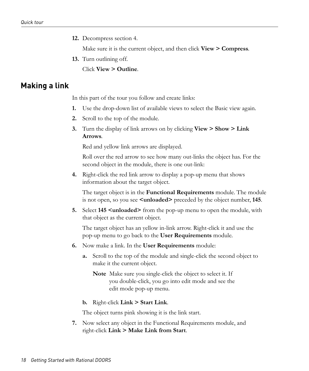**12.** Decompress section 4.

Make sure it is the current object, and then click **View > Compress**.

**13.** Turn outlining off.

Click **View > Outline**.

# <span id="page-23-0"></span>**Making a link**

In this part of the tour you follow and create links:

- **1.** Use the drop-down list of available views to select the Basic view again.
- **2.** Scroll to the top of the module.
- **3.** Turn the display of link arrows on by clicking **View > Show > Link Arrows**.

Red and yellow link arrows are displayed.

Roll over the red arrow to see how many out-links the object has. For the second object in the module, there is one out-link:

**4.** Right-click the red link arrow to display a pop-up menu that shows information about the target object.

The target object is in the **Functional Requirements** module. The module is not open, so you see **<unloaded>** preceded by the object number, **145**.

**5.** Select **145 <unloaded>** from the pop-up menu to open the module, with that object as the current object.

The target object has an yellow in-link arrow. Right-click it and use the pop-up menu to go back to the **User Requirements** module.

- **6.** Now make a link. In the **User Requirements** module:
	- **a.** Scroll to the top of the module and single-click the second object to make it the current object.

**Note** Make sure you single-click the object to select it. If you double-click, you go into edit mode and see the edit mode pop-up menu.

#### **b.** Right-click **Link > Start Link**.

The object turns pink showing it is the link start.

<span id="page-23-1"></span>**7.** Now select any object in the Functional Requirements module, and right-click **Link > Make Link from Start**.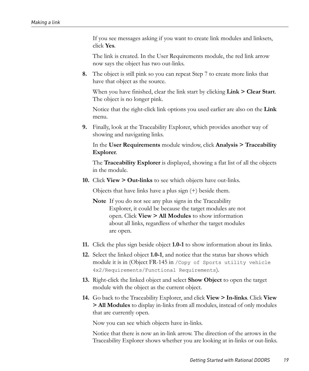If you see messages asking if you want to create link modules and linksets, click **Yes**.

The link is created. In the User Requirements module, the red link arrow now says the object has two out-links.

**8.** The object is still pink so you can repeat [Step 7](#page-23-1) to create more links that have that object as the source.

When you have finished, clear the link start by clicking **Link > Clear Start**. The object is no longer pink.

Notice that the right-click link options you used earlier are also on the **Link** menu.

**9.** Finally, look at the Traceability Explorer, which provides another way of showing and navigating links.

In the **User Requirements** module window, click **Analysis > Traceability Explorer**.

The **Traceability Explorer** is displayed, showing a flat list of all the objects in the module.

**10.** Click **View > Out-links** to see which objects have out-links.

Objects that have links have a plus sign (+) beside them.

- **Note** If you do not see any plus signs in the Traceability Explorer, it could be because the target modules are not open. Click **View > All Modules** to show information about all links, regardless of whether the target modules are open.
- **11.** Click the plus sign beside object **1.0-1** to show information about its links.
- **12.** Select the linked object **1.0-1**, and notice that the status bar shows which module it is in (Object FR-145 in /Copy of Sports utility vehicle 4x2/Requirements/Functional Requirements).
- **13.** Right-click the linked object and select **Show Object** to open the target module with the object as the current object.
- **14.** Go back to the Traceability Explorer, and click **View > In-links**. Click **View > All Modules** to display in-links from all modules, instead of only modules that are currently open.

Now you can see which objects have in-links.

Notice that there is now an in-link arrow. The direction of the arrows in the Traceability Explorer shows whether you are looking at in-links or out-links.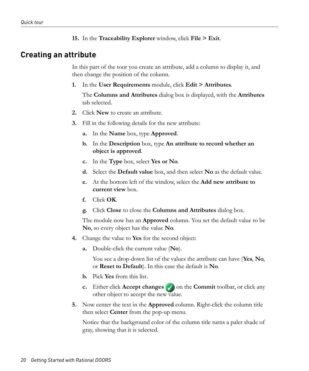**15.** In the **Traceability Explorer** window, click **File > Exit**.

#### <span id="page-25-0"></span>**Creating an attribute**

In this part of the tour you create an attribute, add a column to display it, and then change the position of the column.

**1.** In the **User Requirements** module, click **Edit > Attributes**.

The **Columns and Attributes** dialog box is displayed, with the **Attributes** tab selected.

- **2.** Click **New** to create an attribute.
- **3.** Fill in the following details for the new attribute:
	- **a.** In the **Name** box, type **Approved**.
	- **b.** In the **Description** box, type **An attribute to record whether an object is approved**.
	- **c.** In the **Type** box, select **Yes or No**.
	- **d.** Select the **Default value** box, and then select **No** as the default value.
	- **e.** At the bottom left of the window, select the **Add new attribute to current view** box.
	- **f.** Click **OK**.
	- **g.** Click **Close** to close the **Columns and Attributes** dialog box.

The module now has an **Approved** column. You set the default value to be **No**, so every object has the value **No**.

- **4.** Change the value to **Yes** for the second object:
	- **a.** Double-click the current value (**No**).

You see a drop-down list of the values the attribute can have (**Yes**, **No**, or **Reset to Default**). In this case the default is **No**.

- **b.** Pick **Yes** from this list.
- **c.** Either click **Accept changes** in on the **Commit** toolbar, or click any other object to accept the new value.
- **5.** Now center the text in the **Approved** column. Right-click the column title then select **Center** from the pop-up menu.

Notice that the background color of the column title turns a paler shade of gray, showing that it is selected.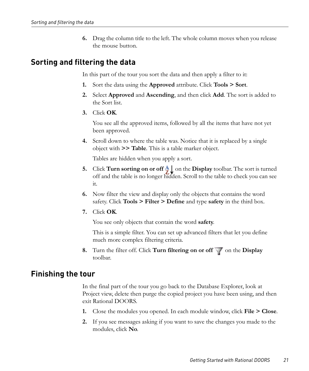**6.** Drag the column title to the left. The whole column moves when you release the mouse button.

# <span id="page-26-0"></span>**Sorting and filtering the data**

In this part of the tour you sort the data and then apply a filter to it:

- **1.** Sort the data using the **Approved** attribute. Click **Tools > Sort**.
- **2.** Select **Approved** and **Ascending**, and then click **Add**. The sort is added to the Sort list.
- **3.** Click **OK**.

You see all the approved items, followed by all the items that have not yet been approved.

**4.** Scroll down to where the table was. Notice that it is replaced by a single object with **>> Table**. This is a table marker object.

Tables are hidden when you apply a sort.

- **5.** Click **Turn sorting on or off**  $\frac{A}{I}$  on the **Display** toolbar. The sort is turned off and the table is no longer hidden. Scroll to the table to check you can see it.
- **6.** Now filter the view and display only the objects that contains the word safety. Click **Tools > Filter > Define** and type **safety** in the third box.
- **7.** Click **OK**.

You see only objects that contain the word **safety**.

This is a simple filter. You can set up advanced filters that let you define much more complex filtering criteria.

**8.** Turn the filter off. Click **Turn filtering on or off** on the **Display** toolbar.

# <span id="page-26-1"></span>**Finishing the tour**

In the final part of the tour you go back to the Database Explorer, look at Project view, delete then purge the copied project you have been using, and then exit Rational DOORS.

- **1.** Close the modules you opened. In each module window, click **File > Close**.
- **2.** If you see messages asking if you want to save the changes you made to the modules, click **No**.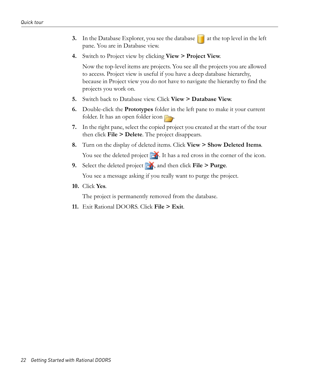- **3.** In the Database Explorer, you see the database  $\parallel$  at the top level in the left pane. You are in Database view.
- **4.** Switch to Project view by clicking **View > Project View**.

Now the top-level items are projects. You see all the projects you are allowed to access. Project view is useful if you have a deep database hierarchy, because in Project view you do not have to navigate the hierarchy to find the projects you work on.

- **5.** Switch back to Database view. Click **View > Database View**.
- **6.** Double-click the **Prototypes** folder in the left pane to make it your current folder. It has an open folder icon
- **7.** In the right pane, select the copied project you created at the start of the tour then click **File > Delete**. The project disappears.
- **8.** Turn on the display of deleted items. Click **View > Show Deleted Items**.

You see the deleted project **.** It has a red cross in the corner of the icon.

**9.** Select the deleted project **Fi**, and then click **File > Purge**.

You see a message asking if you really want to purge the project.

**10.** Click **Yes**.

The project is permanently removed from the database.

**11.** Exit Rational DOORS. Click **File > Exit**.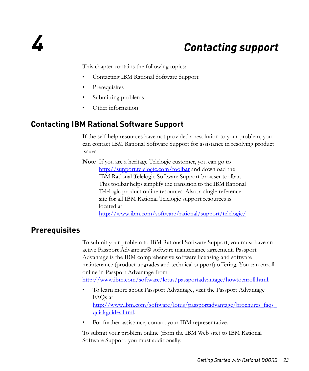# <span id="page-28-0"></span>*4 Contacting support*

This chapter contains the following topics:

- [Contacting IBM Rational Software Support](#page-28-1)
- **[Prerequisites](#page-28-2)**
- [Submitting problems](#page-29-0)
- <span id="page-28-3"></span>• [Other information](#page-31-0)

# <span id="page-28-1"></span>**Contacting IBM Rational Software Support**

If the self-help resources have not provided a resolution to your problem, you can contact IBM Rational Software Support for assistance in resolving product issues.

**Note** If you are a heritage Telelogic customer, you can go to http://support.telelogic.com/toolbar and download the IBM Rational Telelogic Software Support browser toolbar. This toolbar helps simplify the transition to the IBM Rational Telelogic product online resources. Also, a single reference site for all IBM Rational Telelogic support resources is located at

http://www.ibm.com/software/rational/support/telelogic/

# <span id="page-28-2"></span>**Prerequisites**

To submit your problem to IBM Rational Software Support, you must have an active Passport Advantage® software maintenance agreement. Passport Advantage is the IBM comprehensive software licensing and software maintenance (product upgrades and technical support) offering. You can enroll online in Passport Advantage from

http://www.ibm.com/software/lotus/passportadvantage/howtoenroll.html.

- To learn more about Passport Advantage, visit the Passport Advantage FAQs at http://www.ibm.com/software/lotus/passportadvantage/brochures\_faqs\_ quickguides.html.
- For further assistance, contact your IBM representative.

To submit your problem online (from the IBM Web site) to IBM Rational Software Support, you must additionally: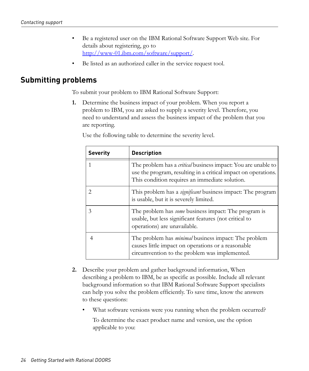- Be a registered user on the IBM Rational Software Support Web site. For details about registering, go to http://www-01.ibm.com/software/support/.
- Be listed as an authorized caller in the service request tool.

#### <span id="page-29-0"></span>**Submitting problems**

To submit your problem to IBM Rational Software Support:

**1.** Determine the business impact of your problem. When you report a problem to IBM, you are asked to supply a severity level. Therefore, you need to understand and assess the business impact of the problem that you are reporting.

Use the following table to determine the severity level.

| <b>Severity</b> | <b>Description</b>                                                                                                                                                                       |
|-----------------|------------------------------------------------------------------------------------------------------------------------------------------------------------------------------------------|
| 1               | The problem has a <i>critical</i> business impact: You are unable to<br>use the program, resulting in a critical impact on operations.<br>This condition requires an immediate solution. |
| $\mathfrak{D}$  | This problem has a <i>significant</i> business impact: The program<br>is usable, but it is severely limited.                                                                             |
| 3               | The problem has <i>some</i> business impact: The program is<br>usable, but less significant features (not critical to<br>operations) are unavailable.                                    |
|                 | The problem has <i>minimal</i> business impact: The problem<br>causes little impact on operations or a reasonable<br>circumvention to the problem was implemented.                       |

- **2.** Describe your problem and gather background information, When describing a problem to IBM, be as specific as possible. Include all relevant background information so that IBM Rational Software Support specialists can help you solve the problem efficiently. To save time, know the answers to these questions:
	- What software versions were you running when the problem occurred?

To determine the exact product name and version, use the option applicable to you: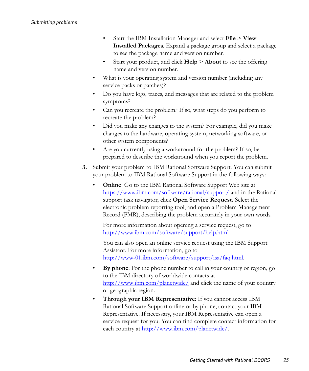- Start the IBM Installation Manager and select **File** > **View Installed Packages**. Expand a package group and select a package to see the package name and version number.
- Start your product, and click **Help** > **About** to see the offering name and version number.
- What is your operating system and version number (including any service packs or patches)?
- Do you have logs, traces, and messages that are related to the problem symptoms?
- Can you recreate the problem? If so, what steps do you perform to recreate the problem?
- Did you make any changes to the system? For example, did you make changes to the hardware, operating system, networking software, or other system components?
- Are you currently using a workaround for the problem? If so, be prepared to describe the workaround when you report the problem.
- **3.** Submit your problem to IBM Rational Software Support. You can submit your problem to IBM Rational Software Support in the following ways:
	- **Online**: Go to the IBM Rational Software Support Web site at https://www.ibm.com/software/rational/support/ and in the Rational support task navigator, click **Open Service Request.** Select the electronic problem reporting tool, and open a Problem Management Record (PMR), describing the problem accurately in your own words.

For more information about opening a service request, go to http://www.ibm.com/software/support/help.html

You can also open an online service request using the IBM Support Assistant. For more information, go to http://www-01.ibm.com/software/support/isa/faq.html.

- **By phone**: For the phone number to call in your country or region, go to the IBM directory of worldwide contacts at http://www.ibm.com/planetwide/ and click the name of your country or geographic region.
- **Through your IBM Representative:** If you cannot access IBM Rational Software Support online or by phone, contact your IBM Representative. If necessary, your IBM Representative can open a service request for you. You can find complete contact information for each country at http://www.ibm.com/planetwide/.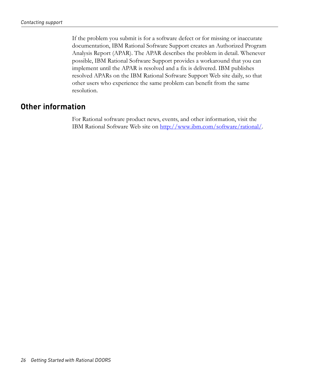If the problem you submit is for a software defect or for missing or inaccurate documentation, IBM Rational Software Support creates an Authorized Program Analysis Report (APAR). The APAR describes the problem in detail. Whenever possible, IBM Rational Software Support provides a workaround that you can implement until the APAR is resolved and a fix is delivered. IBM publishes resolved APARs on the IBM Rational Software Support Web site daily, so that other users who experience the same problem can benefit from the same resolution.

# <span id="page-31-0"></span>**Other information**

For Rational software product news, events, and other information, visit the IBM Rational Software Web site on http://www.ibm.com/software/rational/.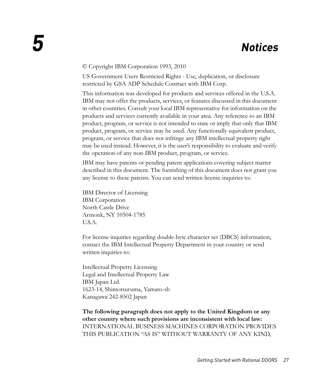#### <span id="page-32-1"></span><span id="page-32-0"></span>© Copyright IBM Corporation 1993, 2010

US Government Users Restricted Rights - Use, duplication, or disclosure restricted by GSA ADP Schedule Contract with IBM Corp.

This information was developed for products and services offered in the U.S.A. IBM may not offer the products, services, or features discussed in this document in other countries. Consult your local IBM representative for information on the products and services currently available in your area. Any reference to an IBM product, program, or service is not intended to state or imply that only that IBM product, program, or service may be used. Any functionally equivalent product, program, or service that does not infringe any IBM intellectual property right may be used instead. However, it is the user's responsibility to evaluate and verify the operation of any non-IBM product, program, or service.

IBM may have patents or pending patent applications covering subject matter described in this document. The furnishing of this document does not grant you any license to these patents. You can send written license inquiries to:

IBM Director of Licensing IBM Corporation North Castle Drive Armonk, NY 10504-1785 U.S.A.

For license inquiries regarding double-byte character set (DBCS) information, contact the IBM Intellectual Property Department in your country or send written inquiries to:

Intellectual Property Licensing Legal and Intellectual Property Law IBM Japan Ltd. 1623-14, Shimotsuruma, Yamato-sh Kanagawa 242-8502 Japan

**The following paragraph does not apply to the United Kingdom or any other country where such provisions are inconsistent with local law:** INTERNATIONAL BUSINESS MACHINES CORPORATION PROVIDES THIS PUBLICATION "AS IS" WITHOUT WARRANTY OF ANY KIND,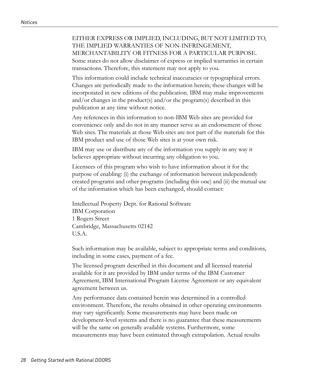#### EITHER EXPRESS OR IMPLIED, INCLUDING, BUT NOT LIMITED TO, THE IMPLIED WARRANTIES OF NON-INFRINGEMENT, MERCHANTABILITY OR FITNESS FOR A PARTICULAR PURPOSE. Some states do not allow disclaimer of express or implied warranties in certain

transactions. Therefore, this statement may not apply to you. This information could include technical inaccuracies or typographical errors. Changes are periodically made to the information herein; these changes will be incorporated in new editions of the publication. IBM may make improvements and/or changes in the product(s) and/or the program(s) described in this publication at any time without notice.

Any references in this information to non-IBM Web sites are provided for convenience only and do not in any manner serve as an endorsement of those Web sites. The materials at those Web sites are not part of the materials for this IBM product and use of those Web sites is at your own risk.

IBM may use or distribute any of the information you supply in any way it believes appropriate without incurring any obligation to you.

Licensees of this program who wish to have information about it for the purpose of enabling: (i) the exchange of information between independently created programs and other programs (including this one) and (ii) the mutual use of the information which has been exchanged, should contact:

Intellectual Property Dept. for Rational Software IBM Corporation 1 Rogers Street Cambridge, Massachusetts 02142 U.S.A.

Such information may be available, subject to appropriate terms and conditions, including in some cases, payment of a fee.

The licensed program described in this document and all licensed material available for it are provided by IBM under terms of the IBM Customer Agreement, IBM International Program License Agreement or any equivalent agreement between us.

Any performance data contained herein was determined in a controlled environment. Therefore, the results obtained in other operating environments may vary significantly. Some measurements may have been made on development-level systems and there is no guarantee that these measurements will be the same on generally available systems. Furthermore, some measurements may have been estimated through extrapolation. Actual results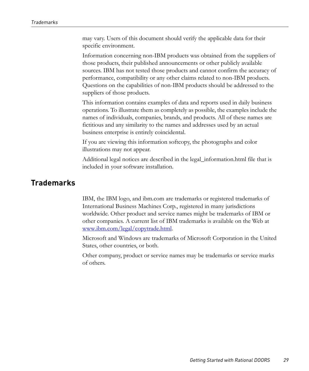may vary. Users of this document should verify the applicable data for their specific environment.

Information concerning non-IBM products was obtained from the suppliers of those products, their published announcements or other publicly available sources. IBM has not tested those products and cannot confirm the accuracy of performance, compatibility or any other claims related to non-IBM products. Questions on the capabilities of non-IBM products should be addressed to the suppliers of those products.

This information contains examples of data and reports used in daily business operations. To illustrate them as completely as possible, the examples include the names of individuals, companies, brands, and products. All of these names are fictitious and any similarity to the names and addresses used by an actual business enterprise is entirely coincidental.

If you are viewing this information softcopy, the photographs and color illustrations may not appear.

Additional legal notices are described in the legal\_information.html file that is included in your software installation.

# <span id="page-34-0"></span>**Trademarks**

IBM, the IBM logo, and ibm.com are trademarks or registered trademarks of International Business Machines Corp., registered in many jurisdictions worldwide. Other product and service names might be trademarks of IBM or other companies. A current list of IBM trademarks is available on the Web at www.ibm.com/legal/copytrade.html.

Microsoft and Windows are trademarks of Microsoft Corporation in the United States, other countries, or both.

Other company, product or service names may be trademarks or service marks of others.